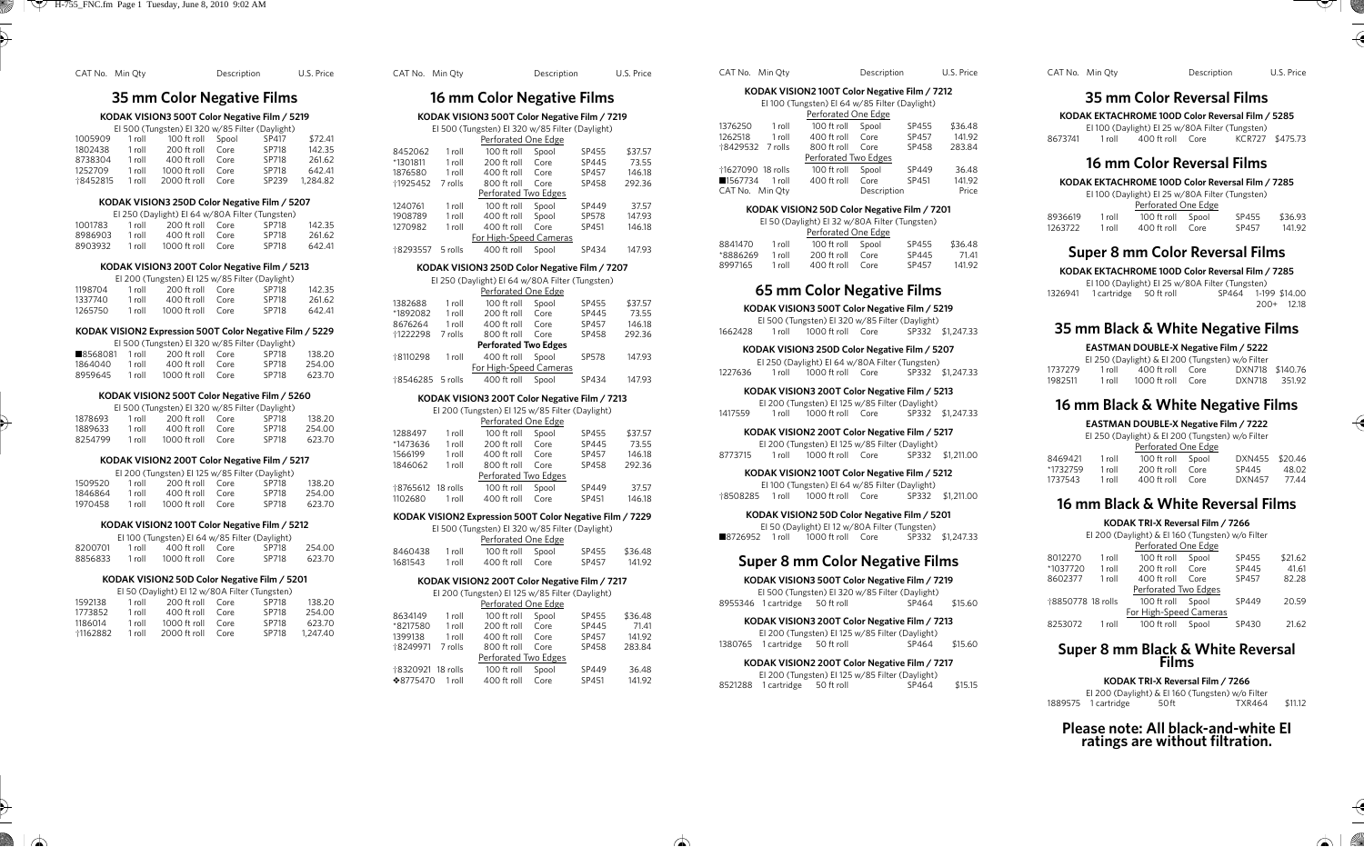| CAT No. Min Oty |        |                                                                | Description  |                | U.S. Price       |                 | CAT No. Min Oty   |                                 | De: |
|-----------------|--------|----------------------------------------------------------------|--------------|----------------|------------------|-----------------|-------------------|---------------------------------|-----|
|                 |        | 35 mm Color Negative Films                                     |              |                |                  |                 |                   | 16 mm Color Nega                |     |
|                 |        | KODAK VISION3 500T Color Negative Film / 5219                  |              |                |                  |                 |                   | KODAK VISION3 500T Color N      |     |
|                 |        | El 500 (Tungsten) El 320 w/85 Filter (Daylight)                |              |                |                  |                 |                   | El 500 (Tungsten) El 320 w/8    |     |
| 1005909         | 1 roll | 100 ft roll                                                    | Spool        | SP417          | \$72.41          |                 |                   | Perforated One I                |     |
| 1802438         | 1 roll | 200 ft roll                                                    | Core         | SP718          | 142.35           | 8452062         | 1 roll            | 100 ft roll                     | Spo |
| 8738304         | 1 roll | 400 ft roll                                                    | Core         | SP718          | 261.62           | *1301811        | 1 roll            | 200 ft roll                     | Cor |
| 1252709         | 1 roll | 1000 ft roll                                                   | Core         | SP718          | 642.41           | 1876580         | 1 roll            | 400 ft roll                     | Cor |
| 18452815        | 1 roll | 2000 ft roll                                                   | Core         | SP239          | 1,284.82         | <b>†1925452</b> | 7 rolls           | 800 ft roll                     | Co  |
|                 |        |                                                                |              |                |                  |                 |                   | Perforated Two E                |     |
|                 |        | KODAK VISION3 250D Color Negative Film / 5207                  |              |                |                  | 1240761         | 1 roll            | 100 ft roll                     | Spo |
|                 |        | El 250 (Daylight) El 64 w/80A Filter (Tungsten)                |              |                |                  | 1908789         | 1 roll            | 400 ft roll                     | Spo |
| 1001783         | 1 roll | 200 ft roll                                                    | Core         | SP718          | 142.35           | 1270982         | 1 roll            | 400 ft roll                     | Co  |
| 8986903         | 1 roll | 400 ft roll<br>1000 ft roll                                    | Core<br>Core | SP718<br>SP718 | 261.62<br>642.41 |                 |                   | For High-Speed Ca               |     |
| 8903932         | 1 roll |                                                                |              |                |                  |                 | †8293557 5 rolls  | 400 ft roll                     | Spo |
|                 |        | KODAK VISION3 200T Color Negative Film / 5213                  |              |                |                  |                 |                   | KODAK VISION3 250D Color N      |     |
|                 |        | El 200 (Tungsten) El 125 w/85 Filter (Daylight)                |              |                |                  |                 |                   | El 250 (Daylight) El 64 w/80/   |     |
| 1198704         | 1 roll | 200 ft roll                                                    | Core         | SP718          | 142.35           |                 |                   | Perforated One I                |     |
| 1337740         | 1 roll | 400 ft roll                                                    | Core         | SP718          | 261.62           | 1382688         | 1 roll            | 100 ft roll                     | Spo |
| 1265750         | 1 roll | 1000 ft roll                                                   | Core         | SP718          | 642.41           | *1892082        | 1 roll            | 200 ft roll                     | Co  |
|                 |        |                                                                |              |                |                  | 8676264         | 1 roll            | 400 ft roll                     | Co  |
|                 |        | KODAK VISION2 Expression 500T Color Negative Film / 5229       |              |                |                  | 1222298         | 7 rolls           | 800 ft roll                     | Co  |
| 8568081         | 1 roll | El 500 (Tungsten) El 320 w/85 Filter (Daylight)<br>200 ft roll | Core         | SP718          |                  |                 |                   | <b>Perforated Two E</b>         |     |
| 1864040         | 1 roll | 400 ft roll                                                    | Core         | SP718          | 138.20<br>254.00 | +8110298        | 1 roll            | 400 ft roll                     | Spo |
| 8959645         | 1 roll | 1000 ft roll                                                   | Core         | SP718          | 623.70           |                 |                   | For High-Speed Ca               |     |
|                 |        |                                                                |              |                |                  |                 | †8546285 5 rolls  | 400 ft roll                     | Spo |
|                 |        | KODAK VISION2 500T Color Negative Film / 5260                  |              |                |                  |                 |                   | KODAK VISION3 200T Color N      |     |
|                 |        | El 500 (Tungsten) El 320 w/85 Filter (Daylight)                |              |                |                  |                 |                   | El 200 (Tungsten) El 125 w/8    |     |
| 1878693         | 1 roll | 200 ft roll                                                    | Core         | SP718          | 138.20           |                 |                   | Perforated One I                |     |
| 1889633         | 1 roll | 400 ft roll                                                    | Core         | SP718          | 254.00           | 1288497         | 1 roll            | 100 ft roll                     | Spo |
| 8254799         | 1 roll | 1000 ft roll                                                   | Core         | SP718          | 623.70           | *1473636        | 1 roll            | 200 ft roll                     | Cor |
|                 |        | KODAK VISION2 200T Color Negative Film / 5217                  |              |                |                  | 1566199         | 1 roll            | 400 ft roll                     | Cor |
|                 |        |                                                                |              |                |                  | 1846062         | 1 roll            | 800 ft roll                     | Co  |
| 1509520         | 1 roll | El 200 (Tungsten) El 125 w/85 Filter (Daylight)<br>200 ft roll | Core         | SP718          | 138.20           |                 |                   | Perforated Two E                |     |
| 1846864         | 1 roll | 400 ft roll                                                    | Core         | SP718          | 254.00           |                 | †8765612 18 rolls | 100 ft roll                     | Spo |
| 1970458         | 1 roll | 1000 ft roll                                                   | Core         | SP718          | 623.70           | 1102680         | 1 roll            | 400 ft roll                     | Co  |
|                 |        |                                                                |              |                |                  |                 |                   | KODAK VISION2 Expression 500T C |     |
|                 |        | KODAK VISION2 100T Color Negative Film / 5212                  |              |                |                  |                 |                   | El 500 (Tungsten) El 320 w/8    |     |
|                 |        | El 100 (Tungsten) El 64 w/85 Filter (Daylight)                 |              |                |                  |                 |                   | Perforated One I                |     |

8200701 1 roll 400 ft roll Core SP718 254.00 8856833 1 roll 1000 ft roll Core

#### **KODAK VISION2 50D Color Negative Film / 5201**

| 1592138 | 1 roll | 200 ft roll  | $C$ ore | SP718 | 138.20   |
|---------|--------|--------------|---------|-------|----------|
| 1773852 | 1 roll | 400 ft roll  | Core    | SP718 | 254.00   |
| 1186014 | 1 roll | 1000 ft roll | Core    | SP718 | 623.70   |
| 1162882 | 1 roll | 2000 ft roll | Core    | SP718 | 1.247.40 |

| CAT No. Min Oty  |          |                                                 | Description |              | U.S. Price |  |
|------------------|----------|-------------------------------------------------|-------------|--------------|------------|--|
|                  |          | 16 mm Color Negative Films                      |             |              |            |  |
|                  |          | KODAK VISION3 500T Color Negative Film / 7219   |             |              |            |  |
|                  |          | El 500 (Tungsten) El 320 w/85 Filter (Daylight) |             |              |            |  |
|                  |          | Perforated One Edge                             |             |              |            |  |
| 8452062          | 1 roll   | 100 ft roll                                     | Spool       | SP455        | \$37.57    |  |
| *1301811         | 1 roll   | 200 ft roll                                     | Core        | SP445        | 73.55      |  |
| 1876580          | 1 roll   | 400 ft roll                                     | Core        | SP457        | 146.18     |  |
| 1925452          | 7 rolls  | 800 ft roll                                     | Core        | SP458        | 292.36     |  |
|                  |          | Perforated Two Edges                            |             |              |            |  |
| 1240761          | 1 roll   | 100 ft roll                                     | Spool       | SP449        | 37.57      |  |
| 1908789          | 1 roll   | 400 ft roll                                     | Spool       | SP578        | 147.93     |  |
| 1270982          | 1 roll   | 400 ft roll                                     | Core        | SP451        | 146.18     |  |
|                  |          | For High-Speed Cameras                          |             |              |            |  |
| †8293557         | 5 rolls  | 400 ft roll                                     | Spool       | SP434        | 147.93     |  |
|                  |          |                                                 |             |              |            |  |
|                  |          | KODAK VISION3 250D Color Negative Film / 7207   |             |              |            |  |
|                  |          | El 250 (Daylight) El 64 w/80A Filter (Tungsten) |             |              |            |  |
|                  |          | Perforated One Edge                             |             |              |            |  |
| 1382688          | 1 roll   | 100 ft roll                                     | Spool       | SP455        | \$37.57    |  |
| *1892082         | 1 roll   | 200 ft roll                                     | Core        | SP445        | 73.55      |  |
| 8676264          | 1 roll   | 400 ft roll                                     | Core        | SP457        | 146.18     |  |
| 1222298          | 7 rolls  | 800 ft roll                                     | Core        | SP458        | 292.36     |  |
|                  |          | <b>Perforated Two Edges</b>                     |             |              |            |  |
| 18110298         | 1 roll   | 400 ft roll                                     | Spool       | <b>SP578</b> | 147.93     |  |
|                  |          | For High-Speed Cameras                          |             |              |            |  |
| 18546285 5 rolls |          | 400 ft roll                                     | Spool       | SP434        | 147.93     |  |
|                  |          | KODAK VISION3 200T Color Negative Film / 7213   |             |              |            |  |
|                  |          | El 200 (Tungsten) El 125 w/85 Filter (Daylight) |             |              |            |  |
|                  |          | Perforated One Edge                             |             |              |            |  |
| 1288497          | 1 roll   | 100 ft roll                                     | Spool       | SP455        | \$37.57    |  |
| *1473636         | 1 roll   | 200 ft roll                                     | Core        | SP445        | 73.55      |  |
| 1566199          | 1 roll   | 400 ft roll                                     | Core        | SP457        | 146.18     |  |
| 1846062          | 1 roll   | 800 ft roll                                     | Core        | SP458        | 292.36     |  |
|                  |          | Perforated Two Edges                            |             |              |            |  |
| 18765612         | 18 rolls | 100 ft roll                                     | Spool       | SP449        | 37.57      |  |
| 1102680          | 1 roll   | 400 ft roll                                     | Core        | SP451        | 146.18     |  |

## **Color Negative Film / 7229**

|         |        | El 500 (Tungsten) El 320 w/85 Filter (Daylight) |       |              |         |
|---------|--------|-------------------------------------------------|-------|--------------|---------|
|         |        | Perforated One Edge                             |       |              |         |
| 8460438 | 1 roll | 100 ft roll                                     | Spool | SP455        | \$36.48 |
| 1681543 | 1 roll | 400 ft roll                                     | Core  | <b>SP457</b> | 141.92  |

#### **KODAK VISION2 200T Color Negative Film / 7217**  $E(200 \times T_{\text{max}})$  EL125 w/85 Filter

|                   |         | El 200 (Tungsten) El 125 W/85 Filter (Daylight) |       |       |         |
|-------------------|---------|-------------------------------------------------|-------|-------|---------|
|                   |         | Perforated One Edge                             |       |       |         |
| 8634149           | 1 roll  | 100 ft roll                                     | Spool | SP455 | \$36.48 |
| *8217580          | 1 roll  | 200 ft roll                                     | Core  | SP445 | 71.41   |
| 1399138           | 1 roll  | 400 ft roll                                     | Core  | SP457 | 141.92  |
| 18249971          | 7 rolls | 800 ft roll                                     | Core  | SP458 | 283.84  |
|                   |         | Perforated Two Edges                            |       |       |         |
| 18320921 18 rolls |         | 100 ft roll                                     | Spool | SP449 | 36.48   |
| ❖8775470          | 1 roll  | 400 ft roll                                     | Core  | SP451 | 141.92  |

| CAT No. Min Oty   |                                               |                                                | Description |       | U.S. Price |  |  |
|-------------------|-----------------------------------------------|------------------------------------------------|-------------|-------|------------|--|--|
|                   | KODAK VISION2 100T Color Negative Film / 7212 |                                                |             |       |            |  |  |
|                   |                                               | El 100 (Tungsten) El 64 w/85 Filter (Daylight) |             |       |            |  |  |
|                   |                                               | Perforated One Edge                            |             |       |            |  |  |
| 1376250           | 1 roll                                        | 100 ft roll                                    | Spool       | SP455 | \$36.48    |  |  |
| 1262518           | 1 roll                                        | 400 ft roll                                    | $C$ ore     | SP457 | 141.92     |  |  |
| +8429532 7 rolls  |                                               | 800 ft roll                                    | $C$ ore     | SP458 | 283.84     |  |  |
|                   |                                               | Perforated Two Edges                           |             |       |            |  |  |
| †1627090 18 rolls |                                               | 100 ft roll                                    | Spool       | SP449 | 36.48      |  |  |
| ■1567734          | $1$ roll                                      | 400 ft roll                                    | Core        | SP451 | 141.92     |  |  |
| CAT No. Min Otv   |                                               |                                                | Description |       | Price      |  |  |

# **KODAK VISION2 50D Color Negative Film / 7201**

| El 50 (Daylight) El 32 w/80A Filter (Tungsten) |          |               |         |       |         |  |
|------------------------------------------------|----------|---------------|---------|-------|---------|--|
| Perforated One Edge                            |          |               |         |       |         |  |
| 8841470                                        | 1 roll   | 100 ft roll   | Spool   | SP455 | \$36.48 |  |
| *8886269                                       | $1$ roll | 200 ft roll   | $C$ ore | SP445 | 7141    |  |
| 8997165                                        | 1 roll   | $400$ ft roll | $C$ ore | SP457 | 14192   |  |

# **65 mm Color Negative Films**

**KODAK VISION3 500T Color Negative Film / 5219**

EI 500 (Tungsten) EI 320 w/85 Filter (Daylight) 1662428 1 roll 1000 ft roll Core

## **KODAK VISION3 250D Color Negative Film / 5207**

EI 250 (Daylight) EI 64 w/80A Filter (Tungsten) 1227636 1 roll 1000 ft roll Core

# **KODAK VISION3 200T Color Negative Film / 5213**

EI 200 (Tungsten) EI 125 w/85 Filter (Daylight) 1417559 1 roll 1000 ft roll Core SP332 \$1,247.33

### **KODAK VISION2 200T Color Negative Film / 5217**

EI 200 (Tungsten) EI 125 w/85 Filter (Daylight) 8773715 1 roll 1000 ft roll Core SP332 \$1,211.00

#### **KODAK VISION2 100T Color Negative Film / 5212**

EI 100 (Tungsten) EI 64 w/85 Filter (Daylight) †8508285 1 roll 1000 ft roll Core SP332 \$1,211.00

# **KODAK VISION2 50D Color Negative Film / 5201**

EI 50 (Daylight) EI 12 w/80A Filter (Tungsten)<br>2 1 roll 1000 ft roll Core 5P332 \$1.247.33 ■8726952 1 roll 1000 ft roll Core

# **Super 8 mm Color Negative Films**

**KODAK VISION3 500T Color Negative Film / 7219** EI 500 (Tungsten) EI 320 w/85 Filter (Daylight) 8955346 1 cartridge 50 ft roll

# **KODAK VISION3 200T Color Negative Film / 7213**

EI 200 (Tungsten) EI 125 w/85 Filter (Daylight) 1380765 1 cartridge 50 ft roll SP464 \$15.60

### **KODAK VISION2 200T Color Negative Film / 7217**

EI 200 (Tungsten) EI 125 w/85 Filter (Daylight) 8521288 1 cartridge 50 ft roll SP464 \$15.15

#### CAT No. Min Qty Description U.S. Price

# **35 mm Color Reversal Films**

Y.

 $\Delta$  |

**KODAK EKTACHROME 100D Color Reversal Film / 5285**

EI 100 (Daylight) EI 25 w/80A Filter (Tungsten)<br>1 roll 400 ft roll Core KCR727 \$475.73 8673741 1 roll 400 ft roll Core

# **16 mm Color Reversal Films**

## **KODAK EKTACHROME 100D Color Reversal Film / 7285**

| El 100 (Daylight) El 25 w/80A Filter (Tungsten) |        |             |       |       |         |  |
|-------------------------------------------------|--------|-------------|-------|-------|---------|--|
| Perforated One Edge                             |        |             |       |       |         |  |
| 8936619                                         | 1 roll | 100 ft roll | Spool | SP455 | \$36.93 |  |
| 1263722                                         | 1 roll | 400 ft roll | Core  | SP457 | 141.92  |  |

# **Super 8 mm Color Reversal Films**

## **KODAK EKTACHROME 100D Color Reversal Film / 7285**

EI 100 (Daylight) EI 25 w/80A Filter (Tungsten) 1326941 1 cartridge 50 ft roll 200+ 12.18

# **35 mm Black & White Negative Films**

# **EASTMAN DOUBLE-X Negative Film / 5222**

|         |        |                  |      | El 250 (Daylight) & El 200 (Tungsten) w/o Filter |        |
|---------|--------|------------------|------|--------------------------------------------------|--------|
| 1737279 | 1 roll | 400 ft roll Core |      | DXN718 \$140.76                                  |        |
| 1982511 | 1 roll | 1000 ft roll     | Core | DXN718                                           | 351.92 |

# **16 mm Black & White Negative Films**

#### **EASTMAN DOUBLE-X Negative Film / 7222**

| El 250 (Daylight) & El 200 (Tungsten) w/o Filter |        |                     |         |               |         |  |
|--------------------------------------------------|--------|---------------------|---------|---------------|---------|--|
|                                                  |        | Perforated One Edge |         |               |         |  |
| 8469421                                          | 1 roll | 100 ft roll         | Spool   | <b>DXN455</b> | \$20.46 |  |
| *1732759                                         | 1 roll | 200 ft roll         | $C$ ore | SP445         | 48.02   |  |
| 1737543                                          | 1 roll | 400 ft roll         | $C$ ore | <b>DXN457</b> | 77.44   |  |

# **16 mm Black & White Reversal Films**

### **KODAK TRI-X Reversal Film / 7266**

|                   |        | El 200 (Daylight) & El 160 (Tungsten) w/o Filter |       |       |         |
|-------------------|--------|--------------------------------------------------|-------|-------|---------|
|                   |        | Perforated One Edge                              |       |       |         |
| 8012270           | 1 roll | 100 ft roll                                      | Spool | SP455 | \$21.62 |
| *1037720          | 1 roll | 200 ft roll                                      | Core  | SP445 | 41.61   |
| 8602377           | 1 roll | 400 ft roll                                      | Core  | SP457 | 82.28   |
|                   |        | Perforated Two Edges                             |       |       |         |
| +8850778 18 rolls |        | 100 ft roll                                      | Spool | SP449 | 20.59   |
|                   |        | For High-Speed Cameras                           |       |       |         |
| 8253072           | 1 roll | 100 ft roll                                      | Spool | SP430 | 21.62   |

# **Super 8 mm Black & White Reversal Films**

**KODAK TRI-X Reversal Film / 7266** EI 200 (Daylight) & EI 160 (Tungsten) w/o Filter 1889575 1 cartridge

**Please note: All black-and-white EI ratings are without filtration.**